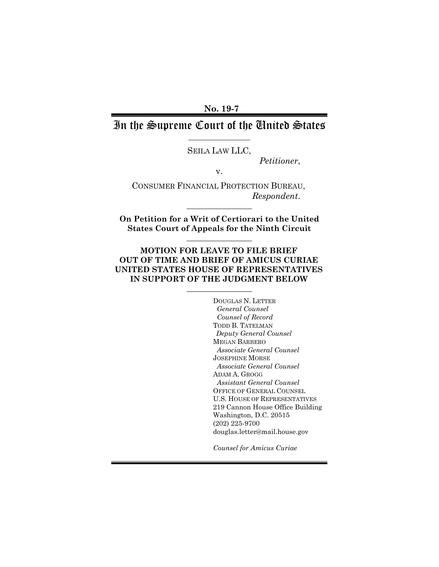**No. 19-7** 

# In the Supreme Court of the United States

SEILA LAW LLC,

*Petitioner*,

v.

CONSUMER FINANCIAL PROTECTION BUREAU, *Respondent*.

**On Petition for a Writ of Certiorari to the United States Court of Appeals for the Ninth Circuit**

### **MOTION FOR LEAVE TO FILE BRIEF OUT OF TIME AND BRIEF OF AMICUS CURIAE UNITED STATES HOUSE OF REPRESENTATIVES IN SUPPORT OF THE JUDGMENT BELOW**

 DOUGLAS N. LETTER *General Counsel Counsel of Record*  TODD B. TATELMAN *Deputy General Counsel*  MEGAN BARBERO *Associate General Counsel*  JOSEPHINE MORSE *Associate General Counsel*  ADAM A. GROGG *Assistant General Counsel*  OFFICE OF GENERAL COUNSEL U.S. HOUSE OF REPRESENTATIVES 219 Cannon House Office Building Washington, D.C. 20515 (202) 225-9700 douglas.letter@mail.house.gov

*Counsel for Amicus Curiae*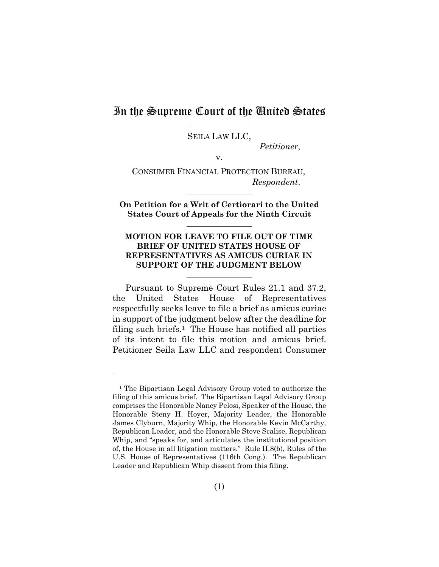# In the Supreme Court of the United States

<u>.</u>

SEILA LAW LLC,

*Petitioner*,

v.

CONSUMER FINANCIAL PROTECTION BUREAU, *Respondent*.

**On Petition for a Writ of Certiorari to the United States Court of Appeals for the Ninth Circuit**

#### **MOTION FOR LEAVE TO FILE OUT OF TIME BRIEF OF UNITED STATES HOUSE OF REPRESENTATIVES AS AMICUS CURIAE IN SUPPORT OF THE JUDGMENT BELOW**

Pursuant to Supreme Court Rules 21.1 and 37.2, the United States House of Representatives respectfully seeks leave to file a brief as amicus curiae in support of the judgment below after the deadline for filing such briefs.<sup>1</sup> The House has notified all parties of its intent to file this motion and amicus brief. Petitioner Seila Law LLC and respondent Consumer

<sup>&</sup>lt;sup>1</sup> The Bipartisan Legal Advisory Group voted to authorize the filing of this amicus brief. The Bipartisan Legal Advisory Group comprises the Honorable Nancy Pelosi, Speaker of the House, the Honorable Steny H. Hoyer, Majority Leader, the Honorable James Clyburn, Majority Whip, the Honorable Kevin McCarthy, Republican Leader, and the Honorable Steve Scalise, Republican Whip, and "speaks for, and articulates the institutional position of, the House in all litigation matters." Rule II.8(b), Rules of the U.S. House of Representatives (116th Cong.). The Republican Leader and Republican Whip dissent from this filing.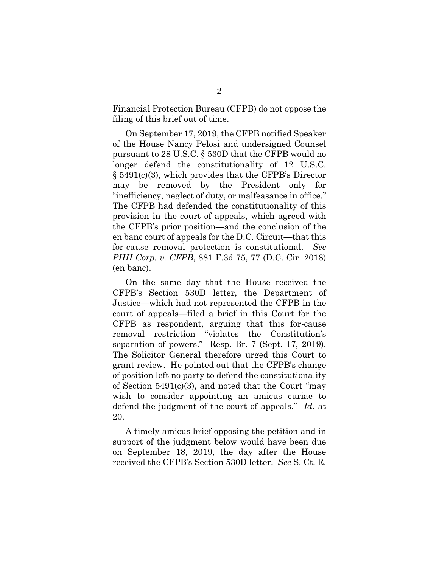Financial Protection Bureau (CFPB) do not oppose the filing of this brief out of time.

On September 17, 2019, the CFPB notified Speaker of the House Nancy Pelosi and undersigned Counsel pursuant to 28 U.S.C. § 530D that the CFPB would no longer defend the constitutionality of 12 U.S.C. § 5491(c)(3), which provides that the CFPB's Director may be removed by the President only for "inefficiency, neglect of duty, or malfeasance in office." The CFPB had defended the constitutionality of this provision in the court of appeals, which agreed with the CFPB's prior position—and the conclusion of the en banc court of appeals for the D.C. Circuit—that this for-cause removal protection is constitutional. *See PHH Corp. v. CFPB*, 881 F.3d 75, 77 (D.C. Cir. 2018) (en banc).

On the same day that the House received the CFPB's Section 530D letter, the Department of Justice—which had not represented the CFPB in the court of appeals—filed a brief in this Court for the CFPB as respondent, arguing that this for-cause removal restriction "violates the Constitution's separation of powers." Resp. Br. 7 (Sept. 17, 2019). The Solicitor General therefore urged this Court to grant review. He pointed out that the CFPB's change of position left no party to defend the constitutionality of Section 5491(c)(3), and noted that the Court "may wish to consider appointing an amicus curiae to defend the judgment of the court of appeals." *Id.* at 20.

A timely amicus brief opposing the petition and in support of the judgment below would have been due on September 18, 2019, the day after the House received the CFPB's Section 530D letter. *See* S. Ct. R.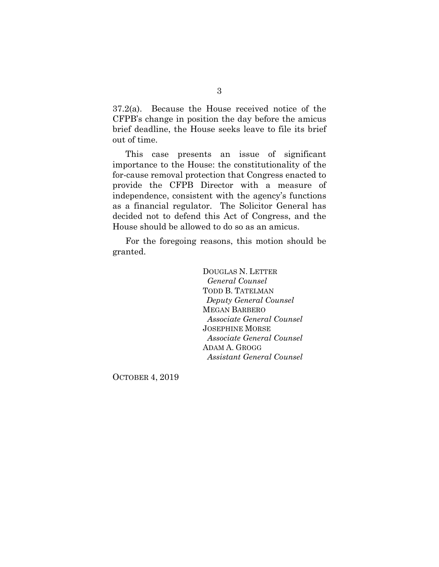37.2(a). Because the House received notice of the CFPB's change in position the day before the amicus brief deadline, the House seeks leave to file its brief out of time.

This case presents an issue of significant importance to the House: the constitutionality of the for-cause removal protection that Congress enacted to provide the CFPB Director with a measure of independence, consistent with the agency's functions as a financial regulator. The Solicitor General has decided not to defend this Act of Congress, and the House should be allowed to do so as an amicus.

For the foregoing reasons, this motion should be granted.

> DOUGLAS N. LETTER *General Counsel*  TODD B. TATELMAN *Deputy General Counsel*  MEGAN BARBERO *Associate General Counsel*  JOSEPHINE MORSE *Associate General Counsel*  ADAM A. GROGG *Assistant General Counsel*

OCTOBER 4, 2019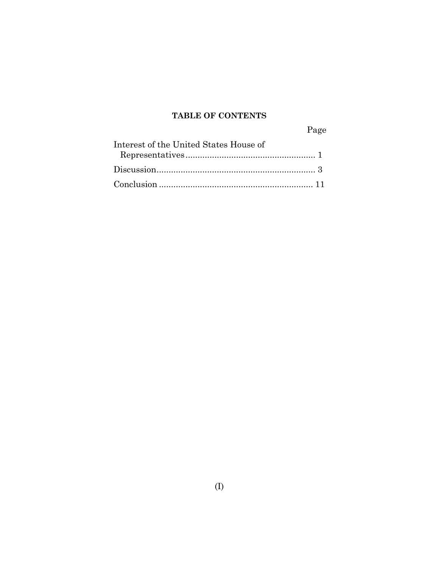## **TABLE OF CONTENTS**

Page

| Interest of the United States House of |
|----------------------------------------|
|                                        |
|                                        |
|                                        |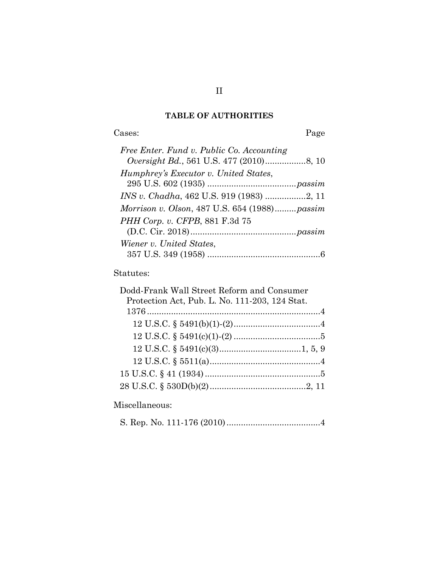## **TABLE OF AUTHORITIES**

Cases: Page

| Free Enter. Fund v. Public Co. Accounting     |
|-----------------------------------------------|
|                                               |
| Humphrey's Executor v. United States,         |
|                                               |
|                                               |
| Morrison v. Olson, 487 U.S. 654 (1988) passim |
| PHH Corp. v. CFPB, 881 F.3d 75                |
|                                               |
| Wiener v. United States,                      |
|                                               |

## Statutes:

| Dodd-Frank Wall Street Reform and Consumer     |  |
|------------------------------------------------|--|
| Protection Act, Pub. L. No. 111-203, 124 Stat. |  |
|                                                |  |
|                                                |  |
|                                                |  |
|                                                |  |
|                                                |  |
|                                                |  |
|                                                |  |

## Miscellaneous:

S. Rep. No. 111-176 (2010) ....................................... 4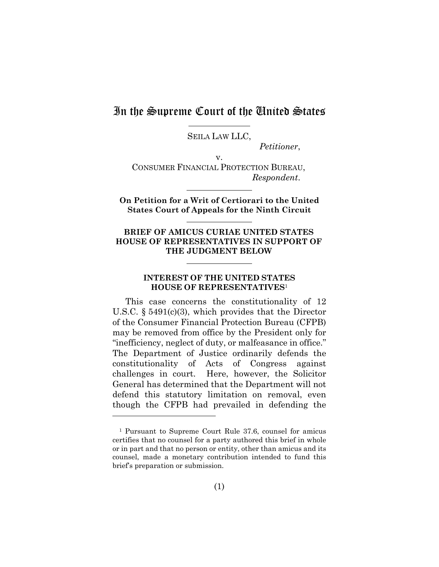## In the Supreme Court of the United States

<u>.</u>

SEILA LAW LLC,

*Petitioner*,

v. CONSUMER FINANCIAL PROTECTION BUREAU, *Respondent*.

**On Petition for a Writ of Certiorari to the United States Court of Appeals for the Ninth Circuit**

#### **BRIEF OF AMICUS CURIAE UNITED STATES HOUSE OF REPRESENTATIVES IN SUPPORT OF THE JUDGMENT BELOW**

### **INTEREST OF THE UNITED STATES HOUSE OF REPRESENTATIVES**<sup>1</sup>

This case concerns the constitutionality of 12 U.S.C. § 5491(c)(3), which provides that the Director of the Consumer Financial Protection Bureau (CFPB) may be removed from office by the President only for "inefficiency, neglect of duty, or malfeasance in office." The Department of Justice ordinarily defends the constitutionality of Acts of Congress against challenges in court. Here, however, the Solicitor General has determined that the Department will not defend this statutory limitation on removal, even though the CFPB had prevailed in defending the

<sup>1</sup> Pursuant to Supreme Court Rule 37.6, counsel for amicus certifies that no counsel for a party authored this brief in whole or in part and that no person or entity, other than amicus and its counsel, made a monetary contribution intended to fund this brief's preparation or submission.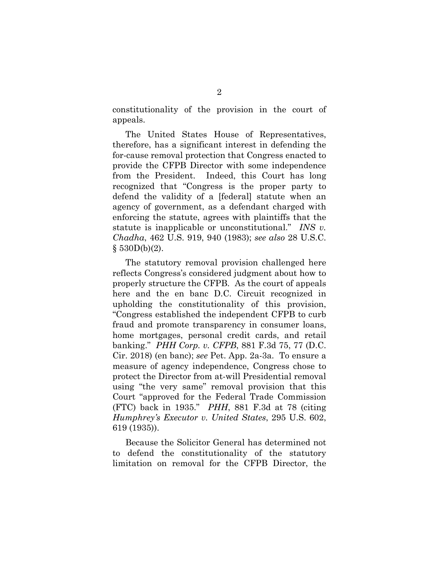constitutionality of the provision in the court of appeals.

The United States House of Representatives, therefore, has a significant interest in defending the for-cause removal protection that Congress enacted to provide the CFPB Director with some independence from the President. Indeed, this Court has long recognized that "Congress is the proper party to defend the validity of a [federal] statute when an agency of government, as a defendant charged with enforcing the statute, agrees with plaintiffs that the statute is inapplicable or unconstitutional." *INS v. Chadha*, 462 U.S. 919, 940 (1983); *see also* 28 U.S.C.  $§ 530D(b)(2).$ 

The statutory removal provision challenged here reflects Congress's considered judgment about how to properly structure the CFPB. As the court of appeals here and the en banc D.C. Circuit recognized in upholding the constitutionality of this provision, "Congress established the independent CFPB to curb fraud and promote transparency in consumer loans, home mortgages, personal credit cards, and retail banking." *PHH Corp. v. CFPB*, 881 F.3d 75, 77 (D.C. Cir. 2018) (en banc); *see* Pet. App. 2a-3a. To ensure a measure of agency independence, Congress chose to protect the Director from at-will Presidential removal using "the very same" removal provision that this Court "approved for the Federal Trade Commission (FTC) back in 1935." *PHH*, 881 F.3d at 78 (citing *Humphrey's Executor v. United States*, 295 U.S. 602, 619 (1935)).

Because the Solicitor General has determined not to defend the constitutionality of the statutory limitation on removal for the CFPB Director, the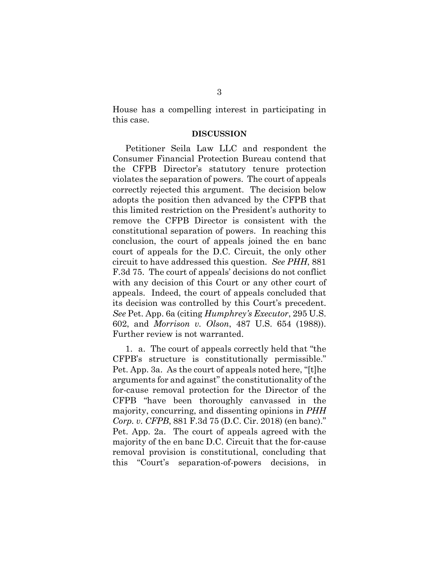House has a compelling interest in participating in this case.

#### **DISCUSSION**

Petitioner Seila Law LLC and respondent the Consumer Financial Protection Bureau contend that the CFPB Director's statutory tenure protection violates the separation of powers. The court of appeals correctly rejected this argument. The decision below adopts the position then advanced by the CFPB that this limited restriction on the President's authority to remove the CFPB Director is consistent with the constitutional separation of powers. In reaching this conclusion, the court of appeals joined the en banc court of appeals for the D.C. Circuit, the only other circuit to have addressed this question. *See PHH*, 881 F.3d 75. The court of appeals' decisions do not conflict with any decision of this Court or any other court of appeals. Indeed, the court of appeals concluded that its decision was controlled by this Court's precedent. *See* Pet. App. 6a (citing *Humphrey's Executor*, 295 U.S. 602, and *Morrison v. Olson*, 487 U.S. 654 (1988)). Further review is not warranted.

1. a. The court of appeals correctly held that "the CFPB's structure is constitutionally permissible." Pet. App. 3a. As the court of appeals noted here, "[t]he arguments for and against" the constitutionality of the for-cause removal protection for the Director of the CFPB "have been thoroughly canvassed in the majority, concurring, and dissenting opinions in *PHH Corp. v. CFPB*, 881 F.3d 75 (D.C. Cir. 2018) (en banc)." Pet. App. 2a. The court of appeals agreed with the majority of the en banc D.C. Circuit that the for-cause removal provision is constitutional, concluding that this "Court's separation-of-powers decisions,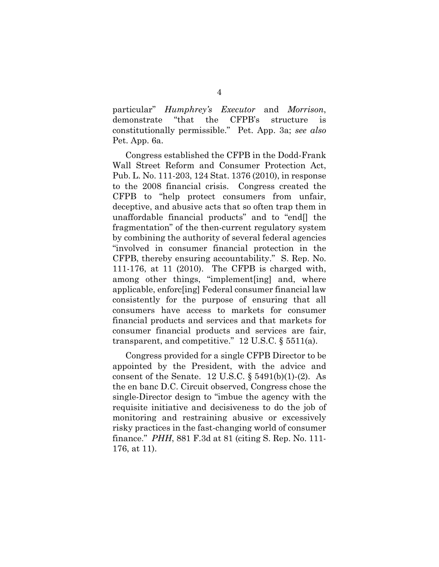particular" *Humphrey's Executor* and *Morrison*, demonstrate "that the CFPB's structure is constitutionally permissible." Pet. App. 3a; *see also*  Pet. App. 6a.

Congress established the CFPB in the Dodd-Frank Wall Street Reform and Consumer Protection Act, Pub. L. No. 111-203, 124 Stat. 1376 (2010), in response to the 2008 financial crisis. Congress created the CFPB to "help protect consumers from unfair, deceptive, and abusive acts that so often trap them in unaffordable financial products" and to "end[] the fragmentation" of the then-current regulatory system by combining the authority of several federal agencies "involved in consumer financial protection in the CFPB, thereby ensuring accountability." S. Rep. No. 111-176, at 11 (2010). The CFPB is charged with, among other things, "implement[ing] and, where applicable, enforc[ing] Federal consumer financial law consistently for the purpose of ensuring that all consumers have access to markets for consumer financial products and services and that markets for consumer financial products and services are fair, transparent, and competitive."  $12$  U.S.C. § 5511(a).

Congress provided for a single CFPB Director to be appointed by the President, with the advice and consent of the Senate. 12 U.S.C.  $\S 5491(b)(1)-(2)$ . As the en banc D.C. Circuit observed, Congress chose the single-Director design to "imbue the agency with the requisite initiative and decisiveness to do the job of monitoring and restraining abusive or excessively risky practices in the fast-changing world of consumer finance." *PHH*, 881 F.3d at 81 (citing S. Rep. No. 111- 176, at 11).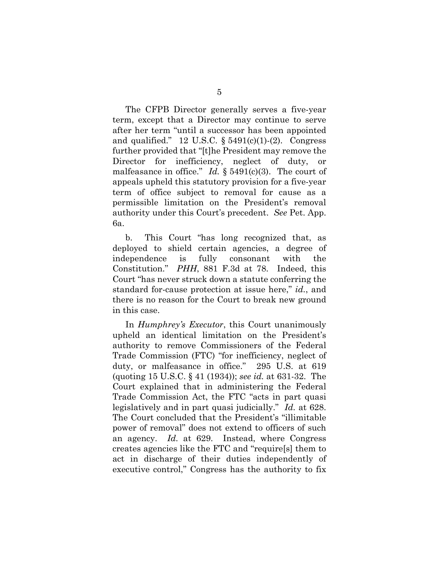The CFPB Director generally serves a five-year term, except that a Director may continue to serve after her term "until a successor has been appointed and qualified." 12 U.S.C.  $\S 5491(c)(1)-(2)$ . Congress further provided that "[t]he President may remove the Director for inefficiency, neglect of duty, or malfeasance in office." *Id.* § 5491(c)(3). The court of appeals upheld this statutory provision for a five-year term of office subject to removal for cause as a permissible limitation on the President's removal authority under this Court's precedent. *See* Pet. App. 6a.

b. This Court "has long recognized that, as deployed to shield certain agencies, a degree of independence is fully consonant with the Constitution." *PHH*, 881 F.3d at 78. Indeed, this Court "has never struck down a statute conferring the standard for-cause protection at issue here," *id.*, and there is no reason for the Court to break new ground in this case.

In *Humphrey's Executor*, this Court unanimously upheld an identical limitation on the President's authority to remove Commissioners of the Federal Trade Commission (FTC) "for inefficiency, neglect of duty, or malfeasance in office." 295 U.S. at 619 (quoting 15 U.S.C. § 41 (1934)); *see id.* at 631-32. The Court explained that in administering the Federal Trade Commission Act, the FTC "acts in part quasi legislatively and in part quasi judicially." *Id.* at 628. The Court concluded that the President's "illimitable power of removal" does not extend to officers of such an agency. *Id.* at 629. Instead, where Congress creates agencies like the FTC and "require[s] them to act in discharge of their duties independently of executive control," Congress has the authority to fix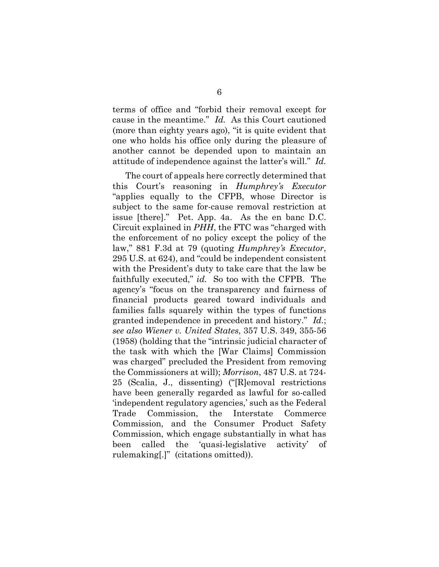terms of office and "forbid their removal except for cause in the meantime." *Id.* As this Court cautioned (more than eighty years ago), "it is quite evident that one who holds his office only during the pleasure of another cannot be depended upon to maintain an attitude of independence against the latter's will." *Id.* 

The court of appeals here correctly determined that this Court's reasoning in *Humphrey's Executor* "applies equally to the CFPB, whose Director is subject to the same for-cause removal restriction at issue [there]." Pet. App. 4a. As the en banc D.C. Circuit explained in *PHH*, the FTC was "charged with the enforcement of no policy except the policy of the law," 881 F.3d at 79 (quoting *Humphrey's Executor*, 295 U.S. at 624), and "could be independent consistent with the President's duty to take care that the law be faithfully executed," *id.* So too with the CFPB. The agency's "focus on the transparency and fairness of financial products geared toward individuals and families falls squarely within the types of functions granted independence in precedent and history." *Id.*; *see also Wiener v. United States*, 357 U.S. 349, 355-56 (1958) (holding that the "intrinsic judicial character of the task with which the [War Claims] Commission was charged" precluded the President from removing the Commissioners at will); *Morrison*, 487 U.S. at 724- 25 (Scalia, J., dissenting) ("[R]emoval restrictions have been generally regarded as lawful for so-called 'independent regulatory agencies,' such as the Federal Trade Commission, the Interstate Commerce Commission, and the Consumer Product Safety Commission, which engage substantially in what has been called the 'quasi-legislative activity' of rulemaking[.]" (citations omitted)).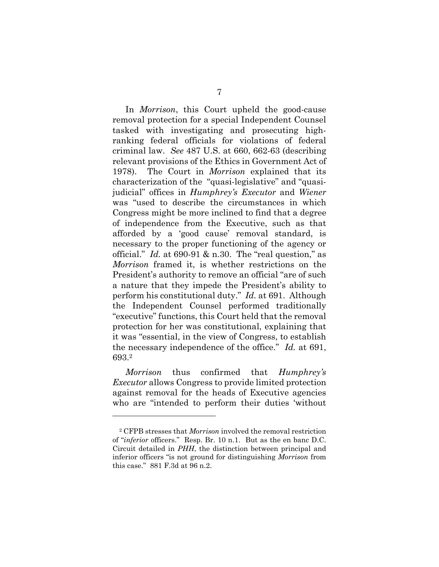In *Morrison*, this Court upheld the good-cause removal protection for a special Independent Counsel tasked with investigating and prosecuting highranking federal officials for violations of federal criminal law. *See* 487 U.S. at 660, 662-63 (describing relevant provisions of the Ethics in Government Act of 1978). The Court in *Morrison* explained that its characterization of the "quasi-legislative" and "quasijudicial" offices in *Humphrey's Executor* and *Wiener*  was "used to describe the circumstances in which Congress might be more inclined to find that a degree of independence from the Executive, such as that afforded by a 'good cause' removal standard, is necessary to the proper functioning of the agency or official." *Id.* at 690-91 & n.30. The "real question," as *Morrison* framed it, is whether restrictions on the President's authority to remove an official "are of such a nature that they impede the President's ability to perform his constitutional duty." *Id.* at 691. Although the Independent Counsel performed traditionally "executive" functions, this Court held that the removal protection for her was constitutional, explaining that it was "essential, in the view of Congress, to establish the necessary independence of the office." *Id.* at 691, 693.2

*Morrison* thus confirmed that *Humphrey's Executor* allows Congress to provide limited protection against removal for the heads of Executive agencies who are "intended to perform their duties 'without

<u>.</u>

<sup>2</sup> CFPB stresses that *Morrison* involved the removal restriction of "*inferior* officers." Resp. Br. 10 n.1. But as the en banc D.C. Circuit detailed in *PHH*, the distinction between principal and inferior officers "is not ground for distinguishing *Morrison* from this case." 881 F.3d at 96 n.2.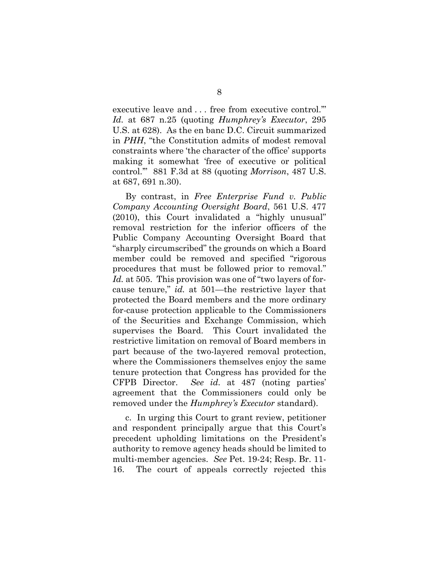executive leave and . . . free from executive control.'" *Id.* at 687 n.25 (quoting *Humphrey's Executor*, 295 U.S. at 628). As the en banc D.C. Circuit summarized in *PHH*, "the Constitution admits of modest removal constraints where 'the character of the office' supports making it somewhat 'free of executive or political control.'" 881 F.3d at 88 (quoting *Morrison*, 487 U.S. at 687, 691 n.30).

By contrast, in *Free Enterprise Fund v. Public Company Accounting Oversight Board*, 561 U.S. 477 (2010), this Court invalidated a "highly unusual" removal restriction for the inferior officers of the Public Company Accounting Oversight Board that "sharply circumscribed" the grounds on which a Board member could be removed and specified "rigorous procedures that must be followed prior to removal." *Id.* at 505. This provision was one of "two layers of forcause tenure," *id.* at 501—the restrictive layer that protected the Board members and the more ordinary for-cause protection applicable to the Commissioners of the Securities and Exchange Commission, which supervises the Board. This Court invalidated the restrictive limitation on removal of Board members in part because of the two-layered removal protection, where the Commissioners themselves enjoy the same tenure protection that Congress has provided for the CFPB Director. *See id.* at 487 (noting parties' agreement that the Commissioners could only be removed under the *Humphrey's Executor* standard).

c. In urging this Court to grant review, petitioner and respondent principally argue that this Court's precedent upholding limitations on the President's authority to remove agency heads should be limited to multi-member agencies. *See* Pet. 19-24; Resp. Br. 11- 16. The court of appeals correctly rejected this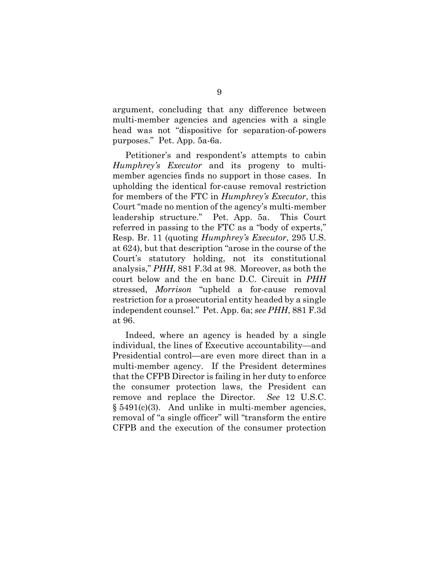argument, concluding that any difference between multi-member agencies and agencies with a single head was not "dispositive for separation-of-powers purposes." Pet. App. 5a-6a.

Petitioner's and respondent's attempts to cabin *Humphrey's Executor* and its progeny to multimember agencies finds no support in those cases. In upholding the identical for-cause removal restriction for members of the FTC in *Humphrey's Executor*, this Court "made no mention of the agency's multi-member leadership structure." Pet. App. 5a. This Court referred in passing to the FTC as a "body of experts," Resp. Br. 11 (quoting *Humphrey's Executor*, 295 U.S. at 624), but that description "arose in the course of the Court's statutory holding, not its constitutional analysis," *PHH*, 881 F.3d at 98. Moreover, as both the court below and the en banc D.C. Circuit in *PHH* stressed, *Morrison* "upheld a for-cause removal restriction for a prosecutorial entity headed by a single independent counsel." Pet. App. 6a; *see PHH*, 881 F.3d at 96.

Indeed, where an agency is headed by a single individual, the lines of Executive accountability—and Presidential control—are even more direct than in a multi-member agency. If the President determines that the CFPB Director is failing in her duty to enforce the consumer protection laws, the President can remove and replace the Director. *See* 12 U.S.C.  $§ 5491(c)(3)$ . And unlike in multi-member agencies, removal of "a single officer" will "transform the entire CFPB and the execution of the consumer protection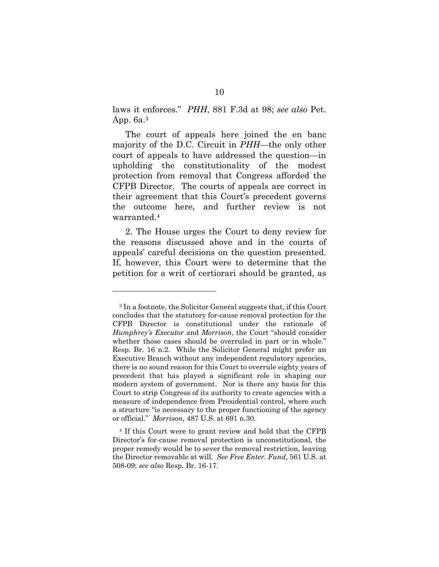laws it enforces." *PHH*, 881 F.3d at 98; *see also* Pet. App. 6a.3

The court of appeals here joined the en banc majority of the D.C. Circuit in *PHH*—the only other court of appeals to have addressed the question—in upholding the constitutionality of the modest protection from removal that Congress afforded the CFPB Director. The courts of appeals are correct in their agreement that this Court's precedent governs the outcome here, and further review is not warranted.4

2. The House urges the Court to deny review for the reasons discussed above and in the courts of appeals' careful decisions on the question presented. If, however, this Court were to determine that the petition for a writ of certiorari should be granted, as

<u>.</u>

<sup>3</sup> In a footnote, the Solicitor General suggests that, if this Court concludes that the statutory for-cause removal protection for the CFPB Director is constitutional under the rationale of *Humphrey's Executor* and *Morrison*, the Court "should consider whether those cases should be overruled in part or in whole." Resp. Br. 16 n.2. While the Solicitor General might prefer an Executive Branch without any independent regulatory agencies, there is no sound reason for this Court to overrule eighty years of precedent that has played a significant role in shaping our modern system of government. Nor is there any basis for this Court to strip Congress of its authority to create agencies with a measure of independence from Presidential control, where such a structure "is necessary to the proper functioning of the agency or official." *Morrison*, 487 U.S. at 691 n.30.

<sup>4</sup> If this Court were to grant review and hold that the CFPB Director's for-cause removal protection is unconstitutional, the proper remedy would be to sever the removal restriction, leaving the Director removable at will. *See Free Enter. Fund*, 561 U.S. at 508-09; *see also* Resp. Br. 16-17.